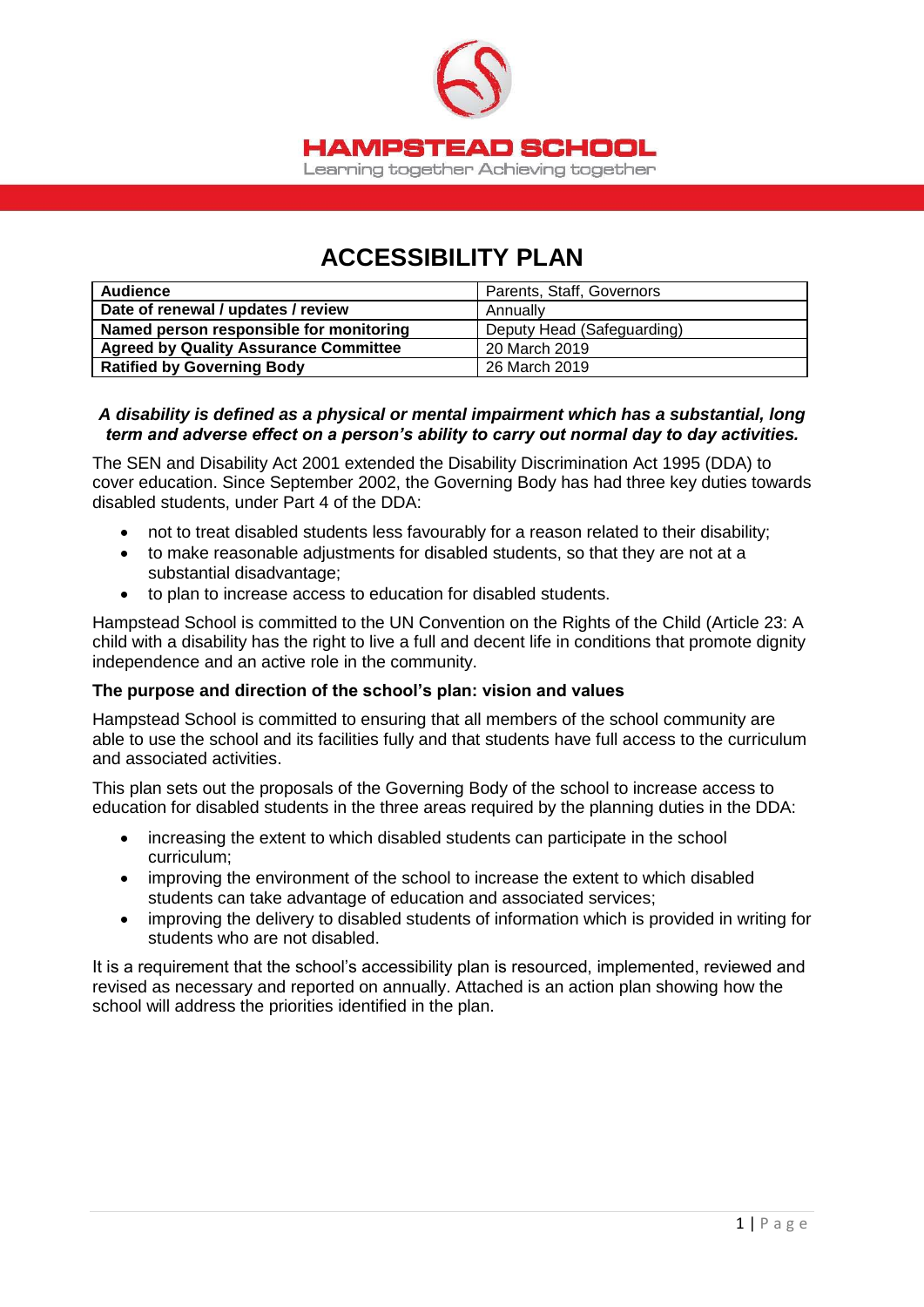

# **ACCESSIBILITY PLAN**

| Audience                                     | Parents, Staff, Governors  |
|----------------------------------------------|----------------------------|
| Date of renewal / updates / review           | Annually                   |
| Named person responsible for monitoring      | Deputy Head (Safeguarding) |
| <b>Agreed by Quality Assurance Committee</b> | 20 March 2019              |
| <b>Ratified by Governing Body</b>            | 26 March 2019              |

# *A disability is defined as a physical or mental impairment which has a substantial, long term and adverse effect on a person's ability to carry out normal day to day activities.*

The SEN and Disability Act 2001 extended the Disability Discrimination Act 1995 (DDA) to cover education. Since September 2002, the Governing Body has had three key duties towards disabled students, under Part 4 of the DDA:

- not to treat disabled students less favourably for a reason related to their disability;
- to make reasonable adjustments for disabled students, so that they are not at a substantial disadvantage;
- to plan to increase access to education for disabled students.

Hampstead School is committed to the UN Convention on the Rights of the Child (Article 23: A child with a disability has the right to live a full and decent life in conditions that promote dignity independence and an active role in the community.

## **The purpose and direction of the school's plan: vision and values**

Hampstead School is committed to ensuring that all members of the school community are able to use the school and its facilities fully and that students have full access to the curriculum and associated activities.

This plan sets out the proposals of the Governing Body of the school to increase access to education for disabled students in the three areas required by the planning duties in the DDA:

- increasing the extent to which disabled students can participate in the school curriculum;
- improving the environment of the school to increase the extent to which disabled students can take advantage of education and associated services;
- improving the delivery to disabled students of information which is provided in writing for students who are not disabled.

It is a requirement that the school's accessibility plan is resourced, implemented, reviewed and revised as necessary and reported on annually. Attached is an action plan showing how the school will address the priorities identified in the plan.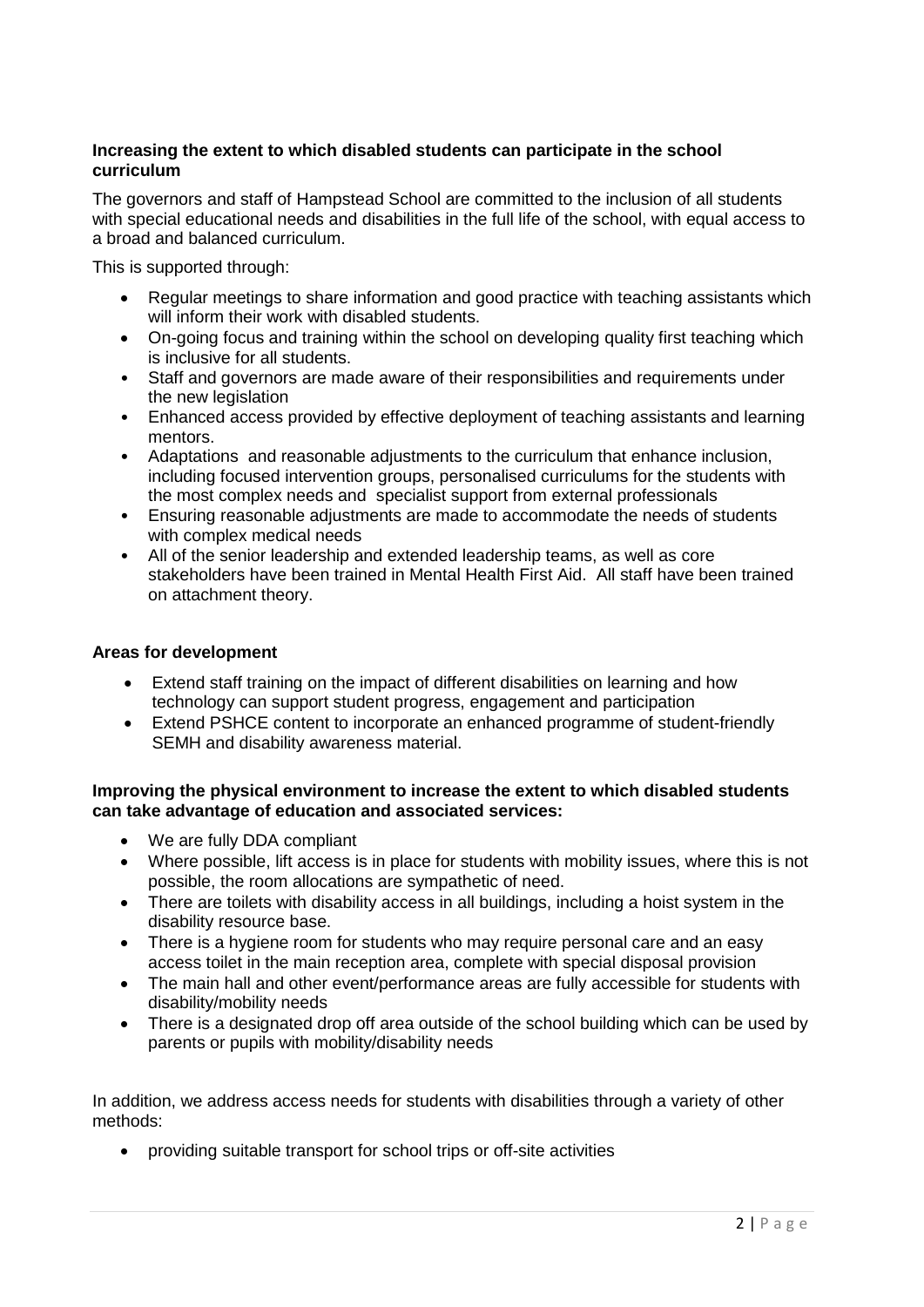## **Increasing the extent to which disabled students can participate in the school curriculum**

The governors and staff of Hampstead School are committed to the inclusion of all students with special educational needs and disabilities in the full life of the school, with equal access to a broad and balanced curriculum.

This is supported through:

- Regular meetings to share information and good practice with teaching assistants which will inform their work with disabled students.
- On-going focus and training within the school on developing quality first teaching which is inclusive for all students.
- Staff and governors are made aware of their responsibilities and requirements under the new legislation
- Enhanced access provided by effective deployment of teaching assistants and learning mentors.
- Adaptations and reasonable adjustments to the curriculum that enhance inclusion, including focused intervention groups, personalised curriculums for the students with the most complex needs and specialist support from external professionals
- Ensuring reasonable adjustments are made to accommodate the needs of students with complex medical needs
- All of the senior leadership and extended leadership teams, as well as core stakeholders have been trained in Mental Health First Aid. All staff have been trained on attachment theory.

#### **Areas for development**

- Extend staff training on the impact of different disabilities on learning and how technology can support student progress, engagement and participation
- Extend PSHCE content to incorporate an enhanced programme of student-friendly SEMH and disability awareness material.

#### **Improving the physical environment to increase the extent to which disabled students can take advantage of education and associated services:**

- We are fully DDA compliant
- Where possible, lift access is in place for students with mobility issues, where this is not possible, the room allocations are sympathetic of need.
- There are toilets with disability access in all buildings, including a hoist system in the disability resource base.
- There is a hygiene room for students who may require personal care and an easy access toilet in the main reception area, complete with special disposal provision
- The main hall and other event/performance areas are fully accessible for students with disability/mobility needs
- There is a designated drop off area outside of the school building which can be used by parents or pupils with mobility/disability needs

In addition, we address access needs for students with disabilities through a variety of other methods:

providing suitable transport for school trips or off-site activities